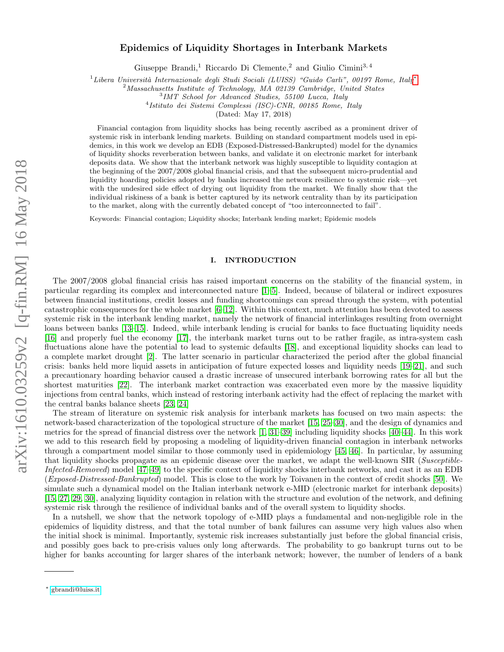# arXiv:1610.03259v2 [q-fin.RM] 16 May 2018 arXiv:1610.03259v2 [q-fin.RM] 16 May 2018

# Epidemics of Liquidity Shortages in Interbank Markets

Giuseppe Brandi,<sup>1</sup> Riccardo Di Clemente,<sup>2</sup> and Giulio Cimini<sup>3,4</sup>

 $1$ Libera Università Internazionale degli Studi Sociali (LUISS) "Guido Carli", 00197 Rome, Italy $^*$ 

<sup>2</sup>Massachusetts Institute of Technology, MA 02139 Cambridge, United States

3 IMT School for Advanced Studies, 55100 Lucca, Italy

4 Istituto dei Sistemi Complessi (ISC)-CNR, 00185 Rome, Italy

(Dated: May 17, 2018)

Financial contagion from liquidity shocks has being recently ascribed as a prominent driver of systemic risk in interbank lending markets. Building on standard compartment models used in epidemics, in this work we develop an EDB (Exposed-Distressed-Bankrupted) model for the dynamics of liquidity shocks reverberation between banks, and validate it on electronic market for interbank deposits data. We show that the interbank network was highly susceptible to liquidity contagion at the beginning of the 2007/2008 global financial crisis, and that the subsequent micro-prudential and liquidity hoarding policies adopted by banks increased the network resilience to systemic risk—yet with the undesired side effect of drying out liquidity from the market. We finally show that the individual riskiness of a bank is better captured by its network centrality than by its participation to the market, along with the currently debated concept of "too interconnected to fail".

Keywords: Financial contagion; Liquidity shocks; Interbank lending market; Epidemic models

### I. INTRODUCTION

The 2007/2008 global financial crisis has raised important concerns on the stability of the financial system, in particular regarding its complex and interconnected nature [\[1–](#page-13-0)[5\]](#page-13-1). Indeed, because of bilateral or indirect exposures between financial institutions, credit losses and funding shortcomings can spread through the system, with potential catastrophic consequences for the whole market [\[6–](#page-13-2)[12\]](#page-13-3). Within this context, much attention has been devoted to assess systemic risk in the interbank lending market, namely the network of financial interlinkages resulting from overnight loans between banks [\[13–](#page-13-4)[15\]](#page-13-5). Indeed, while interbank lending is crucial for banks to face fluctuating liquidity needs [\[16\]](#page-13-6) and properly fuel the economy [\[17\]](#page-13-7), the interbank market turns out to be rather fragile, as intra-system cash fluctuations alone have the potential to lead to systemic defaults [\[18\]](#page-13-8), and exceptional liquidity shocks can lead to a complete market drought [\[2\]](#page-13-9). The latter scenario in particular characterized the period after the global financial crisis: banks held more liquid assets in anticipation of future expected losses and liquidity needs [\[19–](#page-13-10)[21\]](#page-13-11), and such a precautionary hoarding behavior caused a drastic increase of unsecured interbank borrowing rates for all but the shortest maturities [\[22\]](#page-13-12). The interbank market contraction was exacerbated even more by the massive liquidity injections from central banks, which instead of restoring interbank activity had the effect of replacing the market with the central banks balance sheets [\[23,](#page-13-13) [24\]](#page-13-14)

The stream of literature on systemic risk analysis for interbank markets has focused on two main aspects: the network-based characterization of the topological structure of the market [\[15,](#page-13-5) [25–](#page-13-15)[30\]](#page-14-0), and the design of dynamics and metrics for the spread of financial distress over the network [\[1,](#page-13-0) [31–](#page-14-1)[39\]](#page-14-2) including liquidity shocks [\[40–](#page-14-3)[44\]](#page-14-4). In this work we add to this research field by proposing a modeling of liquidity-driven financial contagion in interbank networks through a compartment model similar to those commonly used in epidemiology [\[45,](#page-14-5) [46\]](#page-14-6). In particular, by assuming that liquidity shocks propagate as an epidemic disease over the market, we adapt the well-known SIR (Susceptible-Infected-Removed) model [\[47](#page-14-7)[–49\]](#page-14-8) to the specific context of liquidity shocks interbank networks, and cast it as an EDB (Exposed-Distressed-Bankrupted) model. This is close to the work by Toivanen in the context of credit shocks [\[50\]](#page-14-9). We simulate such a dynamical model on the Italian interbank network e-MID (electronic market for interbank deposits) [\[15,](#page-13-5) [27,](#page-13-16) [29,](#page-13-17) [30\]](#page-14-0), analyzing liquidity contagion in relation with the structure and evolution of the network, and defining systemic risk through the resilience of individual banks and of the overall system to liquidity shocks.

In a nutshell, we show that the network topology of e-MID plays a fundamental and non-negligible role in the epidemics of liquidity distress, and that the total number of bank failures can assume very high values also when the initial shock is minimal. Importantly, systemic risk increases substantially just before the global financial crisis, and possibly goes back to pre-crisis values only long afterwards. The probability to go bankrupt turns out to be higher for banks accounting for larger shares of the interbank network; however, the number of lenders of a bank

<span id="page-0-0"></span><sup>∗</sup> [gbrandi@luiss.it](mailto:gbrandi@luiss.it)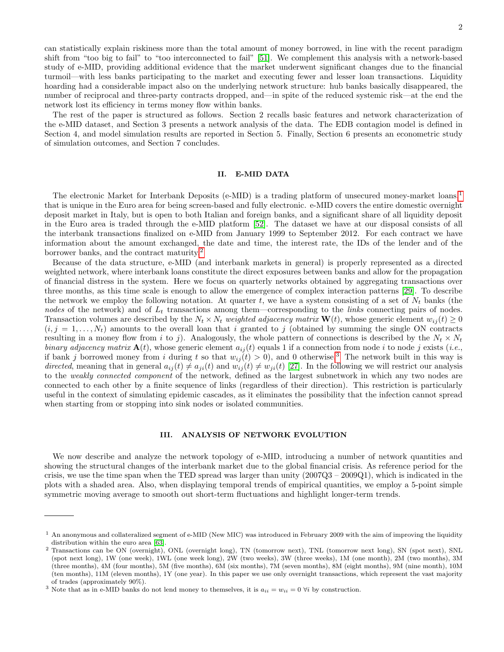can statistically explain riskiness more than the total amount of money borrowed, in line with the recent paradigm shift from "too big to fail" to "too interconnected to fail" [\[51\]](#page-14-10). We complement this analysis with a network-based study of e-MID, providing additional evidence that the market underwent significant changes due to the financial turmoil—with less banks participating to the market and executing fewer and lesser loan transactions. Liquidity hoarding had a considerable impact also on the underlying network structure: hub banks basically disappeared, the number of reciprocal and three-party contracts dropped, and—in spite of the reduced systemic risk—at the end the network lost its efficiency in terms money flow within banks.

The rest of the paper is structured as follows. Section 2 recalls basic features and network characterization of the e-MID dataset, and Section 3 presents a network analysis of the data. The EDB contagion model is defined in Section 4, and model simulation results are reported in Section 5. Finally, Section 6 presents an econometric study of simulation outcomes, and Section 7 concludes.

# <span id="page-1-3"></span>II. E-MID DATA

The electronic Market for Interbank Deposits (e-MID) is a trading platform of unsecured money-market loans,[1](#page-1-0) that is unique in the Euro area for being screen-based and fully electronic. e-MID covers the entire domestic overnight deposit market in Italy, but is open to both Italian and foreign banks, and a significant share of all liquidity deposit in the Euro area is traded through the e-MID platform [\[52\]](#page-14-11). The dataset we have at our disposal consists of all the interbank transactions finalized on e-MID from January 1999 to September 2012. For each contract we have information about the amount exchanged, the date and time, the interest rate, the IDs of the lender and of the borrower banks, and the contract maturity.[2](#page-1-1)

Because of the data structure, e-MID (and interbank markets in general) is properly represented as a directed weighted network, where interbank loans constitute the direct exposures between banks and allow for the propagation of financial distress in the system. Here we focus on quarterly networks obtained by aggregating transactions over three months, as this time scale is enough to allow the emergence of complex interaction patterns [\[29\]](#page-13-17). To describe the network we employ the following notation. At quarter t, we have a system consisting of a set of  $N_t$  banks (the nodes of the network) and of  $L_t$  transactions among them—corresponding to the *links* connecting pairs of nodes. Transaction volumes are described by the  $N_t \times N_t$  weighted adjacency matrix  $\mathbf{W}(t)$ , whose generic element  $w_{ij}(t) \geq 0$  $(i, j = 1, \ldots, N_t)$  amounts to the overall loan that i granted to j (obtained by summing the single ON contracts resulting in a money flow from i to j). Analogously, the whole pattern of connections is described by the  $N_t \times N_t$ binary adjacency matrix  $\mathbf{A}(t)$ , whose generic element  $a_{ij}(t)$  equals 1 if a connection from node i to node j exists (i.e., if bank j borrowed money from i during t so that  $w_{ij}(t) > 0$ , and 0 otherwise.<sup>[3](#page-1-2)</sup> The network built in this way is directed, meaning that in general  $a_{ij}(t) \neq a_{ji}(t)$  and  $w_{ij}(t) \neq w_{ji}(t)$  [\[27\]](#page-13-16). In the following we will restrict our analysis to the weakly connected component of the network, defined as the largest subnetwork in which any two nodes are connected to each other by a finite sequence of links (regardless of their direction). This restriction is particularly useful in the context of simulating epidemic cascades, as it eliminates the possibility that the infection cannot spread when starting from or stopping into sink nodes or isolated communities.

## <span id="page-1-4"></span>III. ANALYSIS OF NETWORK EVOLUTION

We now describe and analyze the network topology of e-MID, introducing a number of network quantities and showing the structural changes of the interbank market due to the global financial crisis. As reference period for the crisis, we use the time span when the TED spread was larger than unity  $(2007Q3 - 2009Q1)$ , which is indicated in the plots with a shaded area. Also, when displaying temporal trends of empirical quantities, we employ a 5-point simple symmetric moving average to smooth out short-term fluctuations and highlight longer-term trends.

<span id="page-1-0"></span><sup>&</sup>lt;sup>1</sup> An anonymous and collateralized segment of e-MID (New MIC) was introduced in February 2009 with the aim of improving the liquidity distribution within the euro area [\[63\]](#page-14-12).

<span id="page-1-1"></span><sup>2</sup> Transactions can be ON (overnight), ONL (overnight long), TN (tomorrow next), TNL (tomorrow next long), SN (spot next), SNL (spot next long), 1W (one week), 1WL (one week long), 2W (two weeks), 3W (three weeks), 1M (one month), 2M (two months), 3M (three months), 4M (four months), 5M (five months), 6M (six months), 7M (seven months), 8M (eight months), 9M (nine month), 10M (ten months), 11M (eleven months), 1Y (one year). In this paper we use only overnight transactions, which represent the vast majority of trades (approximately 90%).

<span id="page-1-2"></span><sup>&</sup>lt;sup>3</sup> Note that as in e-MID banks do not lend money to themselves, it is  $a_{ii} = w_{ii} = 0 \forall i$  by construction.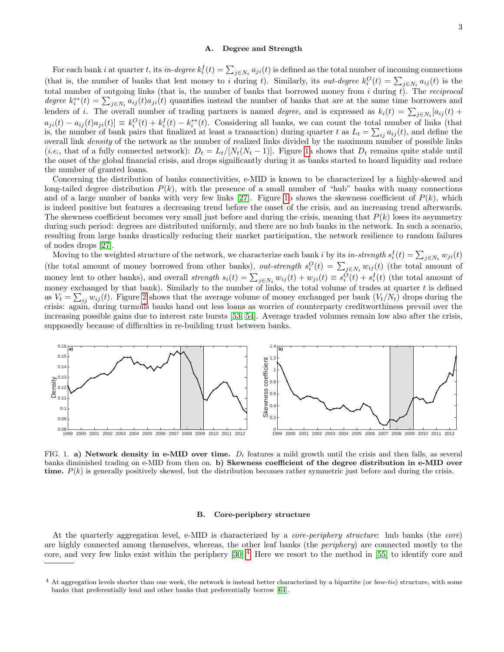# A. Degree and Strength

For each bank *i* at quarter *t*, its *in-degree*  $k_i^I(t) = \sum_{j \in N_t} a_{ji}(t)$  is defined as the total number of incoming connections (that is, the number of banks that lent money to i during t). Similarly, its *out-degree*  $k_i^O(t) = \sum_{j \in N_t} a_{ij}(t)$  is the total number of outgoing links (that is, the number of banks that borrowed money from  $i$  during  $t$ ). The *reciprocal* degree  $k_i^{\leftrightarrow}(t) = \sum_{j \in N_t} a_{ij}(t) a_{ji}(t)$  quantifies instead the number of banks that are at the same time borrowers and lenders of *i*. The overall number of trading partners is named *degree*, and is expressed as  $k_i(t) = \sum_{j \in N_t} [a_{ij}(t) +$  $a_{ji}(t) - a_{ij}(t)a_{ji}(t) \equiv k_i^O(t) + k_i^I(t) - k_i^{\leftrightarrow}(t)$ . Considering all banks, we can count the total number of links (that is, the number of bank pairs that finalized at least a transaction) during quarter t as  $L_t = \sum_{ij} a_{ij}(t)$ , and define the overall link density of the network as the number of realized links divided by the maximum number of possible links (*i.e.*, that of a fully connected network):  $D_t = L_t/[N_t(N_t - 1)]$ . Figure [1a](#page-2-0) shows that  $D_t$  remains quite stable until the onset of the global financial crisis, and drops significantly during it as banks started to hoard liquidity and reduce the number of granted loans.

Concerning the distribution of banks connectivities, e-MID is known to be characterized by a highly-skewed and long-tailed degree distribution  $P(k)$ , with the presence of a small number of "hub" banks with many connections and of a large number of banks with very few links [\[27\]](#page-13-16). Figure [1b](#page-2-0) shows the skewness coefficient of  $P(k)$ , which is indeed positive but features a decreasing trend before the onset of the crisis, and an increasing trend afterwards. The skewness coefficient becomes very small just before and during the crisis, meaning that  $P(k)$  loses its asymmetry during such period: degrees are distributed uniformly, and there are no hub banks in the network. In such a scenario, resulting from large banks drastically reducing their market participation, the network resilience to random failures of nodes drops [\[27\]](#page-13-16).

Moving to the weighted structure of the network, we characterize each bank i by its in-strength  $s_i^I(t) = \sum_{j \in N_t} w_{ji}(t)$ (the total amount of money borrowed from other banks), *out-strength*  $s_i^O(t) = \sum_{j \in N_t} w_{ij}(t)$  (the total amount of money lent to other banks), and overall *strength*  $s_i(t) = \sum_{j \in N_t} w_{ij}(t) + w_{ji}(t) \equiv s_i^O(t) + s_i^I(t)$  (the total amount of money exchanged by that bank). Similarly to the number of links, the total volume of trades at quarter  $t$  is defined as  $V_t = \sum_{ij} w_{ij}(t)$ . Figure [2](#page-3-0) shows that the average volume of money exchanged per bank  $(V_t/N_t)$  drops during the crisis: again, during turmoils banks hand out less loans as worries of counterparty creditworthiness prevail over the increasing possible gains due to interest rate bursts [\[53,](#page-14-13) [54\]](#page-14-14). Average traded volumes remain low also after the crisis, supposedly because of difficulties in re-building trust between banks.



<span id="page-2-0"></span>FIG. 1. a) Network density in e-MID over time.  $D_t$  features a mild growth until the crisis and then falls, as several banks diminished trading on e-MID from then on. b) Skewness coefficient of the degree distribution in e-MID over time.  $P(k)$  is generally positively skewed, but the distribution becomes rather symmetric just before and during the crisis.

## B. Core-periphery structure

At the quarterly aggregation level, e-MID is characterized by a core-periphery structure: hub banks (the core) are highly connected among themselves, whereas, the other leaf banks (the periphery) are connected mostly to the core, and very few links exist within the periphery  $[30]$ .<sup>[4](#page-2-1)</sup> Here we resort to the method in [\[55\]](#page-14-15) to identify core and

<span id="page-2-1"></span> $4$  At aggregation levels shorter than one week, the network is instead better characterized by a bipartite (or *bow-tie*) structure, with some banks that preferentially lend and other banks that preferentially borrow [\[64\]](#page-14-16).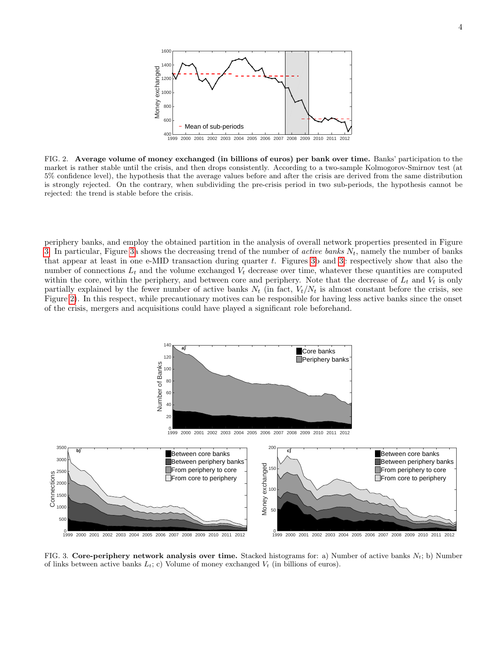

<span id="page-3-0"></span>FIG. 2. Average volume of money exchanged (in billions of euros) per bank over time. Banks' participation to the market is rather stable until the crisis, and then drops consistently. According to a two-sample Kolmogorov-Smirnov test (at 5% confidence level), the hypothesis that the average values before and after the crisis are derived from the same distribution is strongly rejected. On the contrary, when subdividing the pre-crisis period in two sub-periods, the hypothesis cannot be rejected: the trend is stable before the crisis.

periphery banks, and employ the obtained partition in the analysis of overall network properties presented in Figure [3.](#page-3-1) In particular, Figure [3a](#page-3-1) shows the decreasing trend of the number of *active banks*  $N_t$ , namely the number of banks that appear at least in one e-MID transaction during quarter t. Figures [3b](#page-3-1) and [3c](#page-3-1) respectively show that also the number of connections  $L_t$  and the volume exchanged  $V_t$  decrease over time, whatever these quantities are computed within the core, within the periphery, and between core and periphery. Note that the decrease of  $L_t$  and  $V_t$  is only partially explained by the fewer number of active banks  $N_t$  (in fact,  $V_t/N_t$  is almost constant before the crisis, see Figure [2\)](#page-3-0). In this respect, while precautionary motives can be responsible for having less active banks since the onset of the crisis, mergers and acquisitions could have played a significant role beforehand.



<span id="page-3-1"></span>FIG. 3. Core-periphery network analysis over time. Stacked histograms for: a) Number of active banks  $N_t$ ; b) Number of links between active banks  $L_t$ ; c) Volume of money exchanged  $V_t$  (in billions of euros).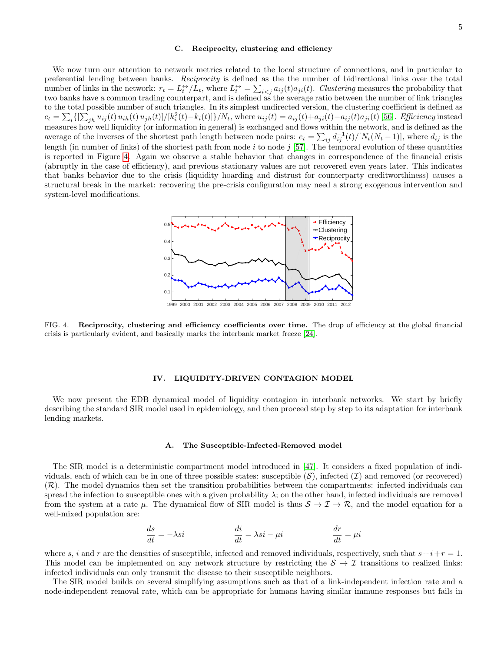### C. Reciprocity, clustering and efficiency

We now turn our attention to network metrics related to the local structure of connections, and in particular to preferential lending between banks. Reciprocity is defined as the the number of bidirectional links over the total number of links in the network:  $r_t = L_t^{\leftrightarrow}/L_t$ , where  $L_t^{\leftrightarrow} = \sum_{i < j} a_{ij}(t) a_{ji}(t)$ . Clustering measures the probability that two banks have a common trading counterpart, and is defined as the average ratio between the number of link triangles to the total possible number of such triangles. In its simplest undirected version, the clustering coefficient is defined as  $c_t = \sum_i \{ [\sum_{jh} u_{ij}(t) u_{ih}(t) u_{jh}(t)] / [k_i^2(t) - k_i(t)] \} / N_t$ , where  $u_{ij}(t) = a_{ij}(t) + a_{ji}(t) - a_{ij}(t) a_{ji}(t)$  [\[56\]](#page-14-17). Efficiency instead measures how well liquidity (or information in general) is exchanged and flows within the network, and is defined as the average of the inverses of the shortest path length between node pairs:  $e_t = \sum_{ij} d_{ij}^{-1}(t) / [N_t(N_t - 1)]$ , where  $d_{ij}$  is the length (in number of links) of the shortest path from node i to node j [\[57\]](#page-14-18). The temporal evolution of these quantities is reported in Figure [4.](#page-4-0) Again we observe a stable behavior that changes in correspondence of the financial crisis (abruptly in the case of efficiency), and previous stationary values are not recovered even years later. This indicates that banks behavior due to the crisis (liquidity hoarding and distrust for counterparty creditworthiness) causes a structural break in the market: recovering the pre-crisis configuration may need a strong exogenous intervention and system-level modifications.



<span id="page-4-0"></span>FIG. 4. Reciprocity, clustering and efficiency coefficients over time. The drop of efficiency at the global financial crisis is particularly evident, and basically marks the interbank market freeze [\[24\]](#page-13-14).

### IV. LIQUIDITY-DRIVEN CONTAGION MODEL

We now present the EDB dynamical model of liquidity contagion in interbank networks. We start by briefly describing the standard SIR model used in epidemiology, and then proceed step by step to its adaptation for interbank lending markets.

### A. The Susceptible-Infected-Removed model

The SIR model is a deterministic compartment model introduced in [\[47\]](#page-14-7). It considers a fixed population of individuals, each of which can be in one of three possible states: susceptible  $(S)$ , infected  $(\mathcal{I})$  and removed (or recovered) (R). The model dynamics then set the transition probabilities between the compartments: infected individuals can spread the infection to susceptible ones with a given probability  $\lambda$ ; on the other hand, infected individuals are removed from the system at a rate  $\mu$ . The dynamical flow of SIR model is thus  $S \to \mathcal{I} \to \mathcal{R}$ , and the model equation for a well-mixed population are:

$$
\frac{ds}{dt} = -\lambda s i \qquad \qquad \frac{di}{dt} = \lambda s i - \mu i \qquad \qquad \frac{dr}{dt} = \mu i
$$

where s, i and r are the densities of susceptible, infected and removed individuals, respectively, such that  $s+i+r=1$ . This model can be implemented on any network structure by restricting the  $S \to \mathcal{I}$  transitions to realized links: infected individuals can only transmit the disease to their susceptible neighbors.

The SIR model builds on several simplifying assumptions such as that of a link-independent infection rate and a node-independent removal rate, which can be appropriate for humans having similar immune responses but fails in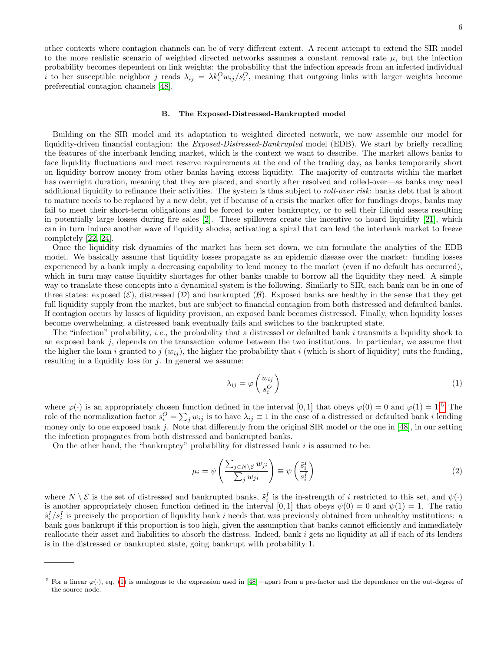other contexts where contagion channels can be of very different extent. A recent attempt to extend the SIR model to the more realistic scenario of weighted directed networks assumes a constant removal rate  $\mu$ , but the infection probability becomes dependent on link weights: the probability that the infection spreads from an infected individual i to her susceptible neighbor j reads  $\lambda_{ij} = \lambda k_i^O w_{ij}/s_i^O$ , meaning that outgoing links with larger weights become preferential contagion channels [\[48\]](#page-14-19).

# B. The Exposed-Distressed-Bankrupted model

Building on the SIR model and its adaptation to weighted directed network, we now assemble our model for liquidity-driven financial contagion: the *Exposed-Distressed-Bankrupted* model (EDB). We start by briefly recalling the features of the interbank lending market, which is the context we want to describe. The market allows banks to face liquidity fluctuations and meet reserve requirements at the end of the trading day, as banks temporarily short on liquidity borrow money from other banks having excess liquidity. The majority of contracts within the market has overnight duration, meaning that they are placed, and shortly after resolved and rolled-over—as banks may need additional liquidity to refinance their activities. The system is thus subject to *roll-over risk*: banks debt that is about to mature needs to be replaced by a new debt, yet if because of a crisis the market offer for fundings drops, banks may fail to meet their short-term obligations and be forced to enter bankruptcy, or to sell their illiquid assets resulting in potentially large losses during fire sales [\[2\]](#page-13-9). These spillovers create the incentive to hoard liquidity [\[21\]](#page-13-11), which can in turn induce another wave of liquidity shocks, activating a spiral that can lead the interbank market to freeze completely [\[22,](#page-13-12) [24\]](#page-13-14).

Once the liquidity risk dynamics of the market has been set down, we can formulate the analytics of the EDB model. We basically assume that liquidity losses propagate as an epidemic disease over the market: funding losses experienced by a bank imply a decreasing capability to lend money to the market (even if no default has occurred), which in turn may cause liquidity shortages for other banks unable to borrow all the liquidity they need. A simple way to translate these concepts into a dynamical system is the following. Similarly to SIR, each bank can be in one of three states: exposed  $(\mathcal{E})$ , distressed  $(\mathcal{D})$  and bankrupted  $(\mathcal{B})$ . Exposed banks are healthy in the sense that they get full liquidity supply from the market, but are subject to financial contagion from both distressed and defaulted banks. If contagion occurs by losses of liquidity provision, an exposed bank becomes distressed. Finally, when liquidity losses become overwhelming, a distressed bank eventually fails and switches to the bankrupted state.

The "infection" probability, *i.e.*, the probability that a distressed or defaulted bank  $i$  transmits a liquidity shock to an exposed bank j, depends on the transaction volume between the two institutions. In particular, we assume that the higher the loan i granted to j  $(w_{ij})$ , the higher the probability that i (which is short of liquidity) cuts the funding, resulting in a liquidity loss for  $j$ . In general we assume:

<span id="page-5-1"></span>
$$
\lambda_{ij} = \varphi \left( \frac{w_{ij}}{s_i^O} \right) \tag{1}
$$

where  $\varphi(\cdot)$  is an appropriately chosen function defined in the interval [0, 1] that obeys  $\varphi(0) = 0$  and  $\varphi(1) = 1.5$  $\varphi(1) = 1.5$  The role of the normalization factor  $s_i^O = \sum_j w_{ij}$  is to have  $\lambda_{ij} \equiv 1$  in the case of a distressed or defaulted bank *i* lending money only to one exposed bank j. Note that differently from the original SIR model or the one in  $[48]$ , in our setting the infection propagates from both distressed and bankrupted banks.

On the other hand, the "bankruptcy" probability for distressed bank  $i$  is assumed to be:

<span id="page-5-2"></span>
$$
\mu_i = \psi \left( \frac{\sum_{j \in N \setminus \mathcal{E}} w_{ji}}{\sum_j w_{ji}} \right) \equiv \psi \left( \frac{\tilde{s}_i^I}{s_i^I} \right) \tag{2}
$$

where  $N \setminus \mathcal{E}$  is the set of distressed and bankrupted banks,  $\tilde{s}_i^I$  is the in-strength of i restricted to this set, and  $\psi(\cdot)$ is another appropriately chosen function defined in the interval [0, 1] that obeys  $\psi(0) = 0$  and  $\psi(1) = 1$ . The ratio  $\tilde{s}_i^I/s_i^I$  is precisely the proportion of liquidity bank i needs that was previously obtained from unhealthy institutions: a bank goes bankrupt if this proportion is too high, given the assumption that banks cannot efficiently and immediately reallocate their asset and liabilities to absorb the distress. Indeed, bank i gets no liquidity at all if each of its lenders is in the distressed or bankrupted state, going bankrupt with probability 1.

<span id="page-5-0"></span><sup>&</sup>lt;sup>5</sup> For a linear  $\varphi(\cdot)$ , eq. [\(1\)](#page-5-1) is analogous to the expression used in [\[48\]](#page-14-19)—apart from a pre-factor and the dependence on the out-degree of the source node.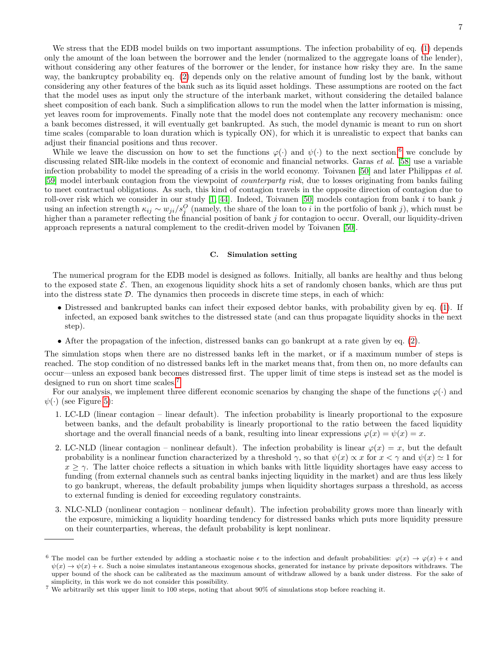We stress that the EDB model builds on two important assumptions. The infection probability of eq. [\(1\)](#page-5-1) depends only the amount of the loan between the borrower and the lender (normalized to the aggregate loans of the lender), without considering any other features of the borrower or the lender, for instance how risky they are. In the same way, the bankruptcy probability eq. [\(2\)](#page-5-2) depends only on the relative amount of funding lost by the bank, without considering any other features of the bank such as its liquid asset holdings. These assumptions are rooted on the fact that the model uses as input only the structure of the interbank market, without considering the detailed balance sheet composition of each bank. Such a simplification allows to run the model when the latter information is missing, yet leaves room for improvements. Finally note that the model does not contemplate any recovery mechanism: once a bank becomes distressed, it will eventually get bankrupted. As such, the model dynamic is meant to run on short time scales (comparable to loan duration which is typically ON), for which it is unrealistic to expect that banks can adjust their financial positions and thus recover.

While we leave the discussion on how to set the functions  $\varphi(\cdot)$  and  $\psi(\cdot)$  to the next section,<sup>[6](#page-6-0)</sup> we conclude by discussing related SIR-like models in the context of economic and financial networks. Garas *et al.* [\[58\]](#page-14-20) use a variable infection probability to model the spreading of a crisis in the world economy. Toivanen [\[50\]](#page-14-9) and later Philippas et al. [\[59\]](#page-14-21) model interbank contagion from the viewpoint of counterparty risk, due to losses originating from banks failing to meet contractual obligations. As such, this kind of contagion travels in the opposite direction of contagion due to roll-over risk which we consider in our study  $[1, 44]$  $[1, 44]$ . Indeed, Toivanen [\[50\]](#page-14-9) models contagion from bank i to bank j using an infection strength  $\kappa_{ij} \sim w_{ji}/s_j^O$  (namely, the share of the loan to i in the portfolio of bank j), which must be higher than a parameter reflecting the financial position of bank j for contagion to occur. Overall, our liquidity-driven approach represents a natural complement to the credit-driven model by Toivanen [\[50\]](#page-14-9).

# C. Simulation setting

The numerical program for the EDB model is designed as follows. Initially, all banks are healthy and thus belong to the exposed state  $\mathcal{E}$ . Then, an exogenous liquidity shock hits a set of randomly chosen banks, which are thus put into the distress state  $D$ . The dynamics then proceeds in discrete time steps, in each of which:

- Distressed and bankrupted banks can infect their exposed debtor banks, with probability given by eq. [\(1\)](#page-5-1). If infected, an exposed bank switches to the distressed state (and can thus propagate liquidity shocks in the next step).
- After the propagation of the infection, distressed banks can go bankrupt at a rate given by eq. [\(2\)](#page-5-2).

The simulation stops when there are no distressed banks left in the market, or if a maximum number of steps is reached. The stop condition of no distressed banks left in the market means that, from then on, no more defaults can occur—unless an exposed bank becomes distressed first. The upper limit of time steps is instead set as the model is designed to run on short time scales.<sup>[7](#page-6-1)</sup>

For our analysis, we implement three different economic scenarios by changing the shape of the functions  $\varphi(\cdot)$  and  $\psi(\cdot)$  (see Figure [5\)](#page-7-0):

- 1. LC-LD (linear contagion linear default). The infection probability is linearly proportional to the exposure between banks, and the default probability is linearly proportional to the ratio between the faced liquidity shortage and the overall financial needs of a bank, resulting into linear expressions  $\varphi(x) = \psi(x) = x$ .
- 2. LC-NLD (linear contagion nonlinear default). The infection probability is linear  $\varphi(x) = x$ , but the default probability is a nonlinear function characterized by a threshold  $\gamma$ , so that  $\psi(x) \propto x$  for  $x < \gamma$  and  $\psi(x) \simeq 1$  for  $x \geq \gamma$ . The latter choice reflects a situation in which banks with little liquidity shortages have easy access to funding (from external channels such as central banks injecting liquidity in the market) and are thus less likely to go bankrupt, whereas, the default probability jumps when liquidity shortages surpass a threshold, as access to external funding is denied for exceeding regulatory constraints.
- 3. NLC-NLD (nonlinear contagion nonlinear default). The infection probability grows more than linearly with the exposure, mimicking a liquidity hoarding tendency for distressed banks which puts more liquidity pressure on their counterparties, whereas, the default probability is kept nonlinear.

<span id="page-6-0"></span><sup>&</sup>lt;sup>6</sup> The model can be further extended by adding a stochastic noise  $\epsilon$  to the infection and default probabilities:  $\varphi(x) \to \varphi(x) + \epsilon$  and  $\psi(x) \to \psi(x) + \epsilon$ . Such a noise simulates instantaneous exogenous shocks, generated for instance by private depositors withdraws. The upper bound of the shock can be calibrated as the maximum amount of withdraw allowed by a bank under distress. For the sake of simplicity, in this work we do not consider this possibility.

<span id="page-6-1"></span><sup>7</sup> We arbitrarily set this upper limit to 100 steps, noting that about 90% of simulations stop before reaching it.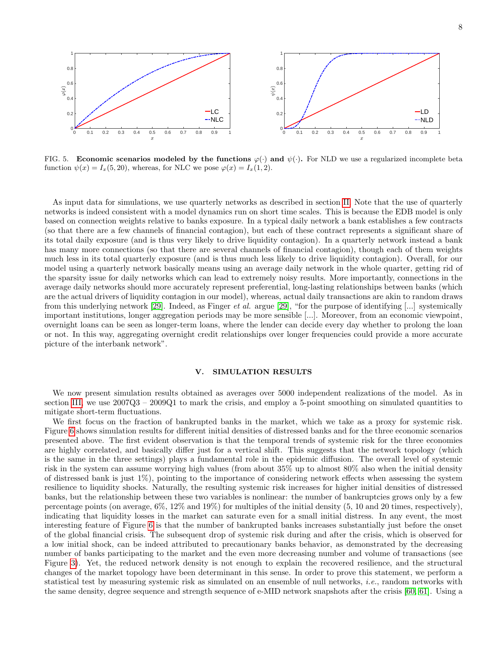

 $0$ 

0.2

0 0.1 0.2 0.3 0.4 0.5 0.6 0.7 0.8 0.9 1

FIG. 5. Economic scenarios modeled by the functions  $\varphi(\cdot)$  and  $\psi(\cdot)$ . For NLD we use a regularized incomplete beta function  $\psi(x) = I_x(5, 20)$ , whereas, for NLC we pose  $\varphi(x) = I_x(1, 2)$ .

<span id="page-7-0"></span>0 0.1 0.2 0.3 0.4 0.5 0.6 0.7 0.8 0.9 1

LC  $-$ -NLC

 $\begin{array}{c|cc}\n\mathbf{0} & \mathbf{0.1} & \mathbf{0.2}\n\end{array}$ 

 $0.4 \begin{array}{ccc} \bullet & \bullet & \bullet \end{array}$ 

 $1$ 

0.2

0.6 0.8

As input data for simulations, we use quarterly networks as described in section [II.](#page-1-3) Note that the use of quarterly networks is indeed consistent with a model dynamics run on short time scales. This is because the EDB model is only based on connection weights relative to banks exposure. In a typical daily network a bank establishes a few contracts (so that there are a few channels of financial contagion), but each of these contract represents a significant share of its total daily exposure (and is thus very likely to drive liquidity contagion). In a quarterly network instead a bank has many more connections (so that there are several channels of financial contagion), though each of them weights much less in its total quarterly exposure (and is thus much less likely to drive liquidity contagion). Overall, for our model using a quarterly network basically means using an average daily network in the whole quarter, getting rid of the sparsity issue for daily networks which can lead to extremely noisy results. More importantly, connections in the average daily networks should more accurately represent preferential, long-lasting relationships between banks (which are the actual drivers of liquidity contagion in our model), whereas, actual daily transactions are akin to random draws from this underlying network [\[29\]](#page-13-17). Indeed, as Finger *et al.* argue [29], "for the purpose of identifying [...] systemically important institutions, longer aggregation periods may be more sensible [...]. Moreover, from an economic viewpoint, overnight loans can be seen as longer-term loans, where the lender can decide every day whether to prolong the loan or not. In this way, aggregating overnight credit relationships over longer frequencies could provide a more accurate picture of the interbank network".

# V. SIMULATION RESULTS

We now present simulation results obtained as averages over 5000 independent realizations of the model. As in section [III,](#page-1-4) we use 2007Q3 – 2009Q1 to mark the crisis, and employ a 5-point smoothing on simulated quantities to mitigate short-term fluctuations.

We first focus on the fraction of bankrupted banks in the market, which we take as a proxy for systemic risk. Figure [6](#page-8-0) shows simulation results for different initial densities of distressed banks and for the three economic scenarios presented above. The first evident observation is that the temporal trends of systemic risk for the three economies are highly correlated, and basically differ just for a vertical shift. This suggests that the network topology (which is the same in the three settings) plays a fundamental role in the epidemic diffusion. The overall level of systemic risk in the system can assume worrying high values (from about 35% up to almost 80% also when the initial density of distressed bank is just  $1\%$ ), pointing to the importance of considering network effects when assessing the system resilience to liquidity shocks. Naturally, the resulting systemic risk increases for higher initial densities of distressed banks, but the relationship between these two variables is nonlinear: the number of bankruptcies grows only by a few percentage points (on average, 6%, 12% and 19%) for multiples of the initial density (5, 10 and 20 times, respectively), indicating that liquidity losses in the market can saturate even for a small initial distress. In any event, the most interesting feature of Figure [6](#page-8-0) is that the number of bankrupted banks increases substantially just before the onset of the global financial crisis. The subsequent drop of systemic risk during and after the crisis, which is observed for a low initial shock, can be indeed attributed to precautionary banks behavior, as demonstrated by the decreasing number of banks participating to the market and the even more decreasing number and volume of transactions (see Figure [3\)](#page-3-1). Yet, the reduced network density is not enough to explain the recovered resilience, and the structural changes of the market topology have been determinant in this sense. In order to prove this statement, we perform a statistical test by measuring systemic risk as simulated on an ensemble of null networks, i.e., random networks with the same density, degree sequence and strength sequence of e-MID network snapshots after the crisis [\[60,](#page-14-22) [61\]](#page-14-23). Using a

 $LD \quad | \quad |$ 

 $-NLD$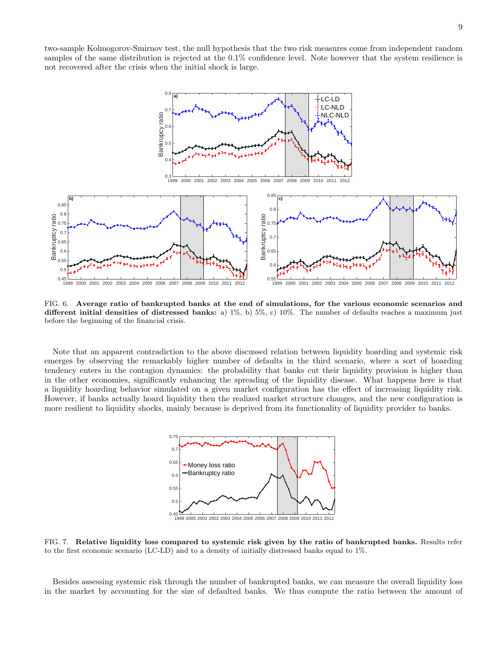two-sample Kolmogorov-Smirnov test, the null hypothesis that the two risk measures come from independent random samples of the same distribution is rejected at the 0.1% confidence level. Note however that the system resilience is not recovered after the crisis when the initial shock is large.



<span id="page-8-0"></span>FIG. 6. Average ratio of bankrupted banks at the end of simulations, for the various economic scenarios and different initial densities of distressed banks: a) 1%, b) 5%, c) 10%. The number of defaults reaches a maximum just before the beginning of the financial crisis.

Note that an apparent contradiction to the above discussed relation between liquidity hoarding and systemic risk emerges by observing the remarkably higher number of defaults in the third scenario, where a sort of hoarding tendency enters in the contagion dynamics: the probability that banks cut their liquidity provision is higher than in the other economies, significantly enhancing the spreading of the liquidity disease. What happens here is that a liquidity hoarding behavior simulated on a given market configuration has the effect of increasing liquidity risk. However, if banks actually hoard liquidity then the realized market structure changes, and the new configuration is more resilient to liquidity shocks, mainly because is deprived from its functionality of liquidity provider to banks.



0.45

<span id="page-8-1"></span>FIG. 7. Relative liquidity loss compared to systemic risk given by the ratio of bankrupted banks. Results refer to the first economic scenario (LC-LD) and to a density of initially distressed banks equal to 1%.

Besides assessing systemic risk through the number of bankrupted banks, we can measure the overall liquidity loss in the market by accounting for the size of defaulted banks. We thus compute the ratio between the amount of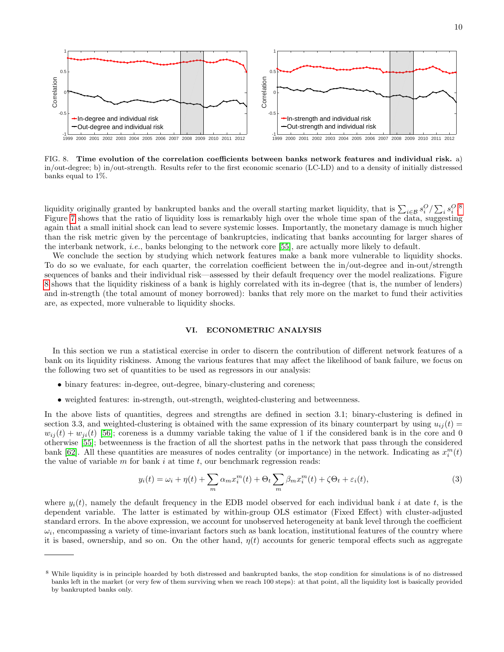

<span id="page-9-1"></span>FIG. 8. Time evolution of the correlation coefficients between banks network features and individual risk. a) in/out-degree; b) in/out-strength. Results refer to the first economic scenario (LC-LD) and to a density of initially distressed banks equal to 1%.

liquidity originally granted by bankrupted banks and the overall starting market liquidity, that is  $\sum_{i \in \mathcal{B}} s_i^O / \sum_i s_i^O$ .<sup>[8](#page-9-0)</sup> Figure [7](#page-8-1) shows that the ratio of liquidity loss is remarkably high over the whole time span of the data, suggesting again that a small initial shock can lead to severe systemic losses. Importantly, the monetary damage is much higher than the risk metric given by the percentage of bankruptcies, indicating that banks accounting for larger shares of the interbank network, *i.e.*, banks belonging to the network core [\[55\]](#page-14-15), are actually more likely to default.

We conclude the section by studying which network features make a bank more vulnerable to liquidity shocks. To do so we evaluate, for each quarter, the correlation coefficient between the in/out-degree and in-out/strength sequences of banks and their individual risk—assessed by their default frequency over the model realizations. Figure [8](#page-9-1) shows that the liquidity riskiness of a bank is highly correlated with its in-degree (that is, the number of lenders) and in-strength (the total amount of money borrowed): banks that rely more on the market to fund their activities are, as expected, more vulnerable to liquidity shocks.

# VI. ECONOMETRIC ANALYSIS

In this section we run a statistical exercise in order to discern the contribution of different network features of a bank on its liquidity riskiness. Among the various features that may affect the likelihood of bank failure, we focus on the following two set of quantities to be used as regressors in our analysis:

- binary features: in-degree, out-degree, binary-clustering and coreness;
- weighted features: in-strength, out-strength, weighted-clustering and betweenness.

In the above lists of quantities, degrees and strengths are defined in section 3.1; binary-clustering is defined in section 3.3, and weighted-clustering is obtained with the same expression of its binary counterpart by using  $u_{ii}(t)$  $w_{ii}(t) + w_{ii}(t)$  [\[56\]](#page-14-17); coreness is a dummy variable taking the value of 1 if the considered bank is in the core and 0 otherwise [\[55\]](#page-14-15); betweenness is the fraction of all the shortest paths in the network that pass through the considered bank [\[62\]](#page-14-24). All these quantities are measures of nodes centrality (or importance) in the network. Indicating as  $x_i^m(t)$ the value of variable  $m$  for bank  $i$  at time  $t$ , our benchmark regression reads:

$$
y_i(t) = \omega_i + \eta(t) + \sum_m \alpha_m x_i^m(t) + \Theta_t \sum_m \beta_m x_i^m(t) + \zeta \Theta_t + \varepsilon_i(t),
$$
\n(3)

where  $y_i(t)$ , namely the default frequency in the EDB model observed for each individual bank i at date t, is the dependent variable. The latter is estimated by within-group OLS estimator (Fixed Effect) with cluster-adjusted standard errors. In the above expression, we account for unobserved heterogeneity at bank level through the coefficient  $\omega_i$ , encompassing a variety of time-invariant factors such as bank location, institutional features of the country where it is based, ownership, and so on. On the other hand,  $\eta(t)$  accounts for generic temporal effects such as aggregate

<span id="page-9-0"></span><sup>8</sup> While liquidity is in principle hoarded by both distressed and bankrupted banks, the stop condition for simulations is of no distressed banks left in the market (or very few of them surviving when we reach 100 steps): at that point, all the liquidity lost is basically provided by bankrupted banks only.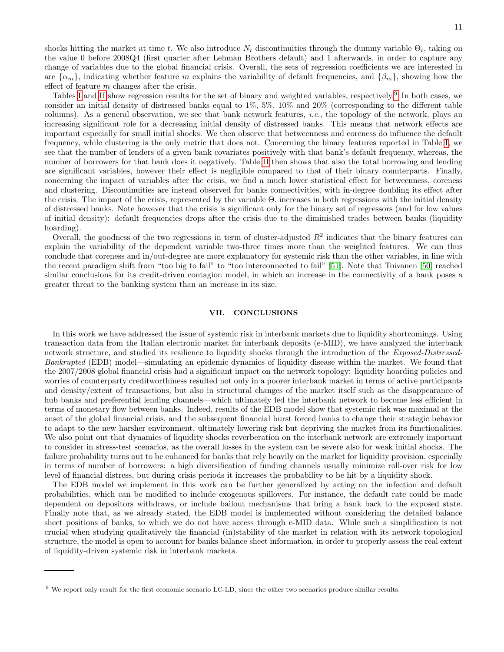shocks hitting the market at time t. We also introduce  $N_t$  discontinuities through the dummy variable  $\Theta_t$ , taking on the value 0 before 2008Q4 (first quarter after Lehman Brothers default) and 1 afterwards, in order to capture any change of variables due to the global financial crisis. Overall, the sets of regression coefficients we are interested in are  $\{\alpha_m\}$ , indicating whether feature m explains the variability of default frequencies, and  $\{\beta_m\}$ , showing how the effect of feature m changes after the crisis.

Tables [I](#page-11-0) and [II](#page-12-0) show regression results for the set of binary and weighted variables, respectively.<sup>[9](#page-10-0)</sup> In both cases, we consider an initial density of distressed banks equal to 1%, 5%, 10% and 20% (corresponding to the different table columns). As a general observation, we see that bank network features, *i.e.*, the topology of the network, plays an increasing significant role for a decreasing initial density of distressed banks. This means that network effects are important especially for small initial shocks. We then observe that betweenness and coreness do influence the default frequency, while clustering is the only metric that does not. Concerning the binary features reported in Table [I,](#page-11-0) we see that the number of lenders of a given bank covariates positively with that bank's default frequency, whereas, the number of borrowers for that bank does it negatively. Table [II](#page-12-0) then shows that also the total borrowing and lending are significant variables, however their effect is negligible compared to that of their binary counterparts. Finally, concerning the impact of variables after the crisis, we find a much lower statistical effect for betweenness, coreness and clustering. Discontinuities are instead observed for banks connectivities, with in-degree doubling its effect after the crisis. The impact of the crisis, represented by the variable Θ, increases in both regressions with the initial density of distressed banks. Note however that the crisis is significant only for the binary set of regressors (and for low values of initial density): default frequencies drops after the crisis due to the diminished trades between banks (liquidity hoarding).

Overall, the goodness of the two regressions in term of cluster-adjusted  $R^2$  indicates that the binary features can explain the variability of the dependent variable two-three times more than the weighted features. We can thus conclude that coreness and in/out-degree are more explanatory for systemic risk than the other variables, in line with the recent paradigm shift from "too big to fail" to "too interconnected to fail" [\[51\]](#page-14-10). Note that Toivanen [\[50\]](#page-14-9) reached similar conclusions for its credit-driven contagion model, in which an increase in the connectivity of a bank poses a greater threat to the banking system than an increase in its size.

# VII. CONCLUSIONS

In this work we have addressed the issue of systemic risk in interbank markets due to liquidity shortcomings. Using transaction data from the Italian electronic market for interbank deposits (e-MID), we have analyzed the interbank network structure, and studied its resilience to liquidity shocks through the introduction of the Exposed-Distressed-Bankrupted (EDB) model—simulating an epidemic dynamics of liquidity disease within the market. We found that the 2007/2008 global financial crisis had a significant impact on the network topology: liquidity hoarding policies and worries of counterparty creditworthiness resulted not only in a poorer interbank market in terms of active participants and density/extent of transactions, but also in structural changes of the market itself such as the disappearance of hub banks and preferential lending channels—which ultimately led the interbank network to become less efficient in terms of monetary flow between banks. Indeed, results of the EDB model show that systemic risk was maximal at the onset of the global financial crisis, and the subsequent financial burst forced banks to change their strategic behavior to adapt to the new harsher environment, ultimately lowering risk but depriving the market from its functionalities. We also point out that dynamics of liquidity shocks reverberation on the interbank network are extremely important to consider in stress-test scenarios, as the overall losses in the system can be severe also for weak initial shocks. The failure probability turns out to be enhanced for banks that rely heavily on the market for liquidity provision, especially in terms of number of borrowers: a high diversification of funding channels usually minimize roll-over risk for low level of financial distress, but during crisis periods it increases the probability to be hit by a liquidity shock.

The EDB model we implement in this work can be further generalized by acting on the infection and default probabilities, which can be modified to include exogenous spillovers. For instance, the default rate could be made dependent on depositors withdraws, or include bailout mechanisms that bring a bank back to the exposed state. Finally note that, as we already stated, the EDB model is implemented without considering the detailed balance sheet positions of banks, to which we do not have access through e-MID data. While such a simplification is not crucial when studying qualitatively the financial (in)stability of the market in relation with its network topological structure, the model is open to account for banks balance sheet information, in order to properly assess the real extent of liquidity-driven systemic risk in interbank markets.

<span id="page-10-0"></span><sup>9</sup> We report only result for the first economic scenario LC-LD, since the other two scenarios produce similar results.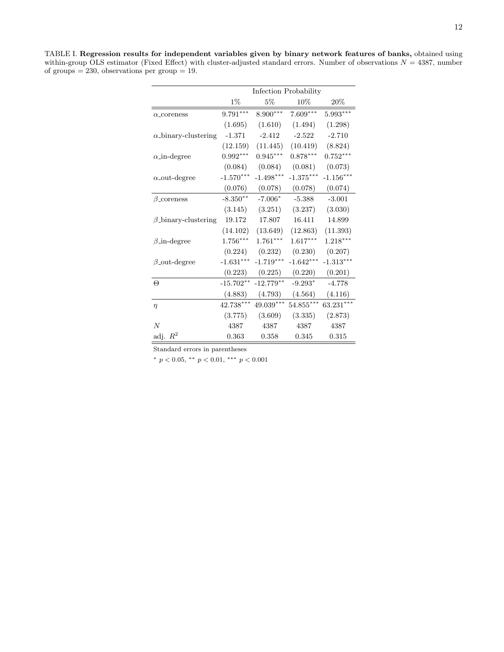<span id="page-11-0"></span>TABLE I. Regression results for independent variables given by binary network features of banks, obtained using within-group OLS estimator (Fixed Effect) with cluster-adjusted standard errors. Number of observations  $N = 4387$ , number of groups  $= 230$ , observations per group  $= 19$ .

|                             | Infection Probability |             |             |             |  |
|-----------------------------|-----------------------|-------------|-------------|-------------|--|
|                             | $1\%$                 | $5\%$       | 10%         | 20%         |  |
| $\alpha$ _coreness          | $9.791***$            | $8.900***$  | $7.609***$  | $5.993***$  |  |
|                             | (1.695)               | (1.610)     | (1.494)     | (1.298)     |  |
| $\alpha$ -binary-clustering | $-1.371$              | $-2.412$    | $-2.522$    | $-2.710$    |  |
|                             | (12.159)              | (11.445)    | (10.419)    | (8.824)     |  |
| $\alpha$ _in-degree         | $0.992***$            | $0.945***$  | $0.878***$  | $0.752***$  |  |
|                             | (0.084)               | (0.084)     | (0.081)     | (0.073)     |  |
| $\alpha$ -out-degree        | $-1.570***$           | $-1.498***$ | $-1.375***$ | $-1.156***$ |  |
|                             | (0.076)               | (0.078)     | (0.078)     | (0.074)     |  |
| $\beta$ _coreness           | $-8.350**$            | $-7.006*$   | $-5.388$    | $-3.001$    |  |
|                             | (3.145)               | (3.251)     | (3.237)     | (3.030)     |  |
| $\beta$ -binary-clustering  | 19.172                | 17.807      | 16.411      | 14.899      |  |
|                             | (14.102)              | (13.649)    | (12.863)    | (11.393)    |  |
| $\beta$ _in-degree          | $1.756***$            | $1.761***$  | $1.617***$  | $1.218***$  |  |
|                             | (0.224)               | (0.232)     | (0.230)     | (0.207)     |  |
| $\beta$ -out-degree         | $-1.631***$           | $-1.719***$ | $-1.642***$ | $-1.313***$ |  |
|                             | (0.223)               | (0.225)     | (0.220)     | (0.201)     |  |
| $\Theta$                    | $-15.702**$           | $-12.779**$ | $-9.293*$   | $-4.778$    |  |
|                             | (4.883)               | (4.793)     | (4.564)     | (4.116)     |  |
| $\eta$                      | $42.738***$           | 49.039***   | $54.855***$ | $63.231***$ |  |
|                             | (3.775)               | (3.609)     | (3.335)     | (2.873)     |  |
| $\overline{N}$              | 4387                  | 4387        | 4387        | 4387        |  |
| adj. $R^2$                  | 0.363                 | 0.358       | 0.345       | 0.315       |  |

Standard errors in parentheses

<sup>∗</sup> p < 0.05, ∗∗ p < 0.01, ∗∗∗ p < 0.001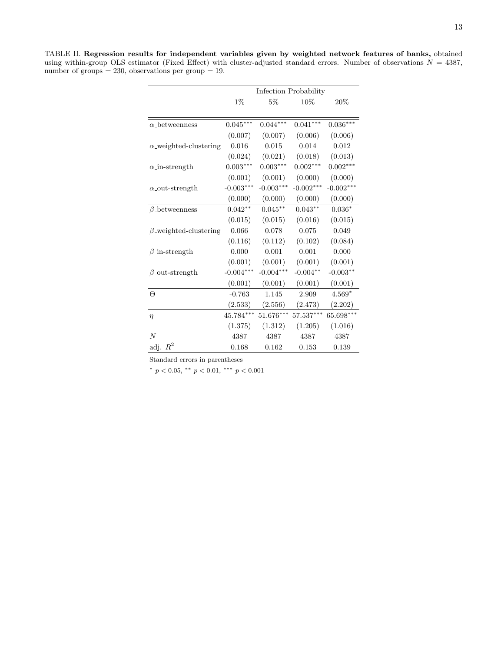<span id="page-12-0"></span>TABLE II. Regression results for independent variables given by weighted network features of banks, obtained using within-group OLS estimator (Fixed Effect) with cluster-adjusted standard errors. Number of observations  $N = 4387$ , number of groups  $= 230$ , observations per group  $= 19$ .

|                                  | Infection Probability |                 |             |             |  |
|----------------------------------|-----------------------|-----------------|-------------|-------------|--|
|                                  | $1\%$                 | 5%              | 10%         | $20\%$      |  |
|                                  |                       |                 |             |             |  |
| $\alpha$ -betweenness            | $0.045***$            | $0.044***$      | $0.041***$  | $0.036***$  |  |
|                                  | (0.007)               | (0.007)         | (0.006)     | (0.006)     |  |
| $\alpha$ -weighted-clustering    | 0.016                 | 0.015           | 0.014       | 0.012       |  |
|                                  | (0.024)               | (0.021)         | (0.018)     | (0.013)     |  |
| $\alpha$ <sub>-in-strength</sub> | $0.003***$            | $0.003^{***}\,$ | $0.002***$  | $0.002***$  |  |
|                                  | (0.001)               | (0.001)         | (0.000)     | (0.000)     |  |
| $\alpha$ -out-strength           | $-0.003***$           | $-0.003***$     | $-0.002***$ | $-0.002***$ |  |
|                                  | (0.000)               | (0.000)         | (0.000)     | (0.000)     |  |
| $\beta$ -betweenness             | $0.042**$             | $0.045***$      | $0.043**$   | $0.036*$    |  |
|                                  | (0.015)               | (0.015)         | (0.016)     | (0.015)     |  |
| $\beta$ -weighted-clustering     | 0.066                 | 0.078           | 0.075       | 0.049       |  |
|                                  | (0.116)               | (0.112)         | (0.102)     | (0.084)     |  |
| $\beta$ _in-strength             | 0.000                 | 0.001           | 0.001       | 0.000       |  |
|                                  | (0.001)               | (0.001)         | (0.001)     | (0.001)     |  |
| $\beta$ -out-strength            | $-0.004***$           | $-0.004***$     | $-0.004**$  | $-0.003**$  |  |
|                                  | (0.001)               | (0.001)         | (0.001)     | (0.001)     |  |
| $\Theta$                         | $-0.763$              | 1.145           | 2.909       | $4.569*$    |  |
|                                  | (2.533)               | (2.556)         | (2.473)     | (2.202)     |  |
| $\eta$                           | 45.784***             | $51.676***$     | $57.537***$ | $65.698***$ |  |
|                                  | (1.375)               | (1.312)         | (1.205)     | (1.016)     |  |
| $\overline{N}$                   | 4387                  | 4387            | 4387        | 4387        |  |
| adj. $R^2$                       | 0.168                 | 0.162           | 0.153       | 0.139       |  |

Standard errors in parentheses

\*  $p < 0.05$ , \*\*  $p < 0.01$ , \*\*\*  $p < 0.001$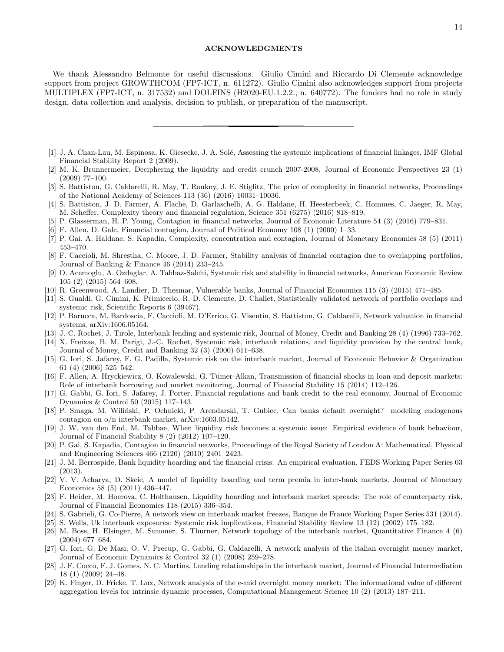### ACKNOWLEDGMENTS

We thank Alessandro Belmonte for useful discussions. Giulio Cimini and Riccardo Di Clemente acknowledge support from project GROWTHCOM (FP7-ICT, n. 611272). Giulio Cimini also acknowledges support from projects MULTIPLEX (FP7-ICT, n. 317532) and DOLFINS (H2020-EU.1.2.2., n. 640772). The funders had no role in study design, data collection and analysis, decision to publish, or preparation of the manuscript.

- <span id="page-13-0"></span>[1] J. A. Chan-Lau, M. Espinosa, K. Giesecke, J. A. Solé, Assessing the systemic implications of financial linkages, IMF Global Financial Stability Report 2 (2009).
- <span id="page-13-9"></span>[2] M. K. Brunnermeier, Deciphering the liquidity and credit crunch 2007-2008, Journal of Economic Perspectives 23 (1) (2009) 77–100.
- [3] S. Battiston, G. Caldarelli, R. May, T. Roukny, J. E. Stiglitz, The price of complexity in financial networks, Proceedings of the National Academy of Sciences 113 (36) (2016) 10031–10036.
- [4] S. Battiston, J. D. Farmer, A. Flache, D. Garlaschelli, A. G. Haldane, H. Heesterbeek, C. Hommes, C. Jaeger, R. May, M. Scheffer, Complexity theory and financial regulation, Science 351 (6275) (2016) 818–819.
- <span id="page-13-1"></span>[5] P. Glasserman, H. P. Young, Contagion in financial networks, Journal of Economic Literature 54 (3) (2016) 779–831.
- <span id="page-13-2"></span>[6] F. Allen, D. Gale, Financial contagion, Journal of Political Economy 108 (1) (2000) 1–33.
- [7] P. Gai, A. Haldane, S. Kapadia, Complexity, concentration and contagion, Journal of Monetary Economics 58 (5) (2011) 453–470.
- [8] F. Caccioli, M. Shrestha, C. Moore, J. D. Farmer, Stability analysis of financial contagion due to overlapping portfolios, Journal of Banking & Finance 46 (2014) 233–245.
- [9] D. Acemoglu, A. Ozdaglar, A. Tahbaz-Salehi, Systemic risk and stability in financial networks, American Economic Review 105 (2) (2015) 564–608.
- [10] R. Greenwood, A. Landier, D. Thesmar, Vulnerable banks, Journal of Financial Economics 115 (3) (2015) 471–485.
- [11] S. Gualdi, G. Cimini, K. Primicerio, R. D. Clemente, D. Challet, Statistically validated network of portfolio overlaps and systemic risk, Scientific Reports 6 (39467).
- <span id="page-13-3"></span>[12] P. Barucca, M. Bardoscia, F. Caccioli, M. D'Errico, G. Visentin, S. Battiston, G. Caldarelli, Network valuation in financial systems, arXiv:1606.05164.
- <span id="page-13-4"></span>[13] J.-C. Rochet, J. Tirole, Interbank lending and systemic risk, Journal of Money, Credit and Banking 28 (4) (1996) 733–762.
- [14] X. Freixas, B. M. Parigi, J.-C. Rochet, Systemic risk, interbank relations, and liquidity provision by the central bank, Journal of Money, Credit and Banking 32 (3) (2000) 611–638.
- <span id="page-13-5"></span>[15] G. Iori, S. Jafarey, F. G. Padilla, Systemic risk on the interbank market, Journal of Economic Behavior & Organization 61 (4) (2006) 525–542.
- <span id="page-13-6"></span>[16] F. Allen, A. Hryckiewicz, O. Kowalewski, G. Tümer-Alkan, Transmission of financial shocks in loan and deposit markets: Role of interbank borrowing and market monitoring, Journal of Financial Stability 15 (2014) 112–126.
- <span id="page-13-7"></span>[17] G. Gabbi, G. Iori, S. Jafarey, J. Porter, Financial regulations and bank credit to the real economy, Journal of Economic Dynamics & Control 50 (2015) 117–143.
- <span id="page-13-8"></span>[18] P. Smaga, M. Wiliński, P. Ochnicki, P. Arendarski, T. Gubiec, Can banks default overnight? modeling endogenous contagion on o/n interbank market, arXiv:1603.05142.
- <span id="page-13-10"></span>[19] J. W. van den End, M. Tabbae, When liquidity risk becomes a systemic issue: Empirical evidence of bank behaviour, Journal of Financial Stability 8 (2) (2012) 107–120.
- [20] P. Gai, S. Kapadia, Contagion in financial networks, Proceedings of the Royal Society of London A: Mathematical, Physical and Engineering Sciences 466 (2120) (2010) 2401–2423.
- <span id="page-13-11"></span>[21] J. M. Berrospide, Bank liquidity hoarding and the financial crisis: An empirical evaluation, FEDS Working Paper Series 03 (2013).
- <span id="page-13-12"></span>[22] V. V. Acharya, D. Skeie, A model of liquidity hoarding and term premia in inter-bank markets, Journal of Monetary Economics 58 (5) (2011) 436–447.
- <span id="page-13-13"></span>[23] F. Heider, M. Hoerova, C. Holthausen, Liquidity hoarding and interbank market spreads: The role of counterparty risk, Journal of Financial Economics 118 (2015) 336–354.
- <span id="page-13-14"></span>[24] S. Gabrieli, G. Co-Pierre, A network view on interbank market freezes, Banque de France Working Paper Series 531 (2014).
- <span id="page-13-15"></span>[25] S. Wells, Uk interbank exposures: Systemic risk implications, Financial Stability Review 13 (12) (2002) 175–182.
- [26] M. Boss, H. Elsinger, M. Summer, S. Thurner, Network topology of the interbank market, Quantitative Finance 4 (6) (2004) 677–684.
- <span id="page-13-16"></span>[27] G. Iori, G. De Masi, O. V. Precup, G. Gabbi, G. Caldarelli, A network analysis of the italian overnight money market, Journal of Economic Dynamics & Control 32 (1) (2008) 259–278.
- [28] J. F. Cocco, F. J. Gomes, N. C. Martins, Lending relationships in the interbank market, Journal of Financial Intermediation 18 (1) (2009) 24–48.
- <span id="page-13-17"></span>[29] K. Finger, D. Fricke, T. Lux, Network analysis of the e-mid overnight money market: The informational value of different aggregation levels for intrinsic dynamic processes, Computational Management Science 10 (2) (2013) 187–211.